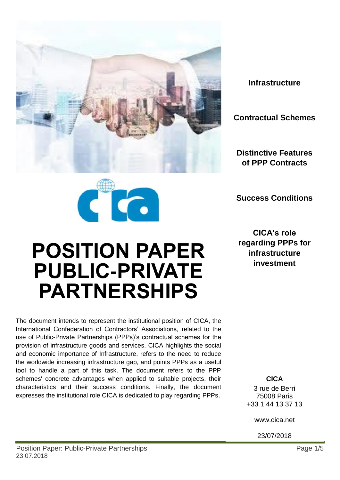

**Infrastructure**

**Contractual Schemes**

**Distinctive Features of PPP Contracts**

**Success Conditions**



# **POSITION PAPER PUBLIC-PRIVATE PARTNERSHIPS**

The document intends to represent the institutional position of CICA, the International Confederation of Contractors' Associations, related to the use of Public-Private Partnerships (PPPs)'s contractual schemes for the provision of infrastructure goods and services. CICA highlights the social and economic importance of Infrastructure, refers to the need to reduce the worldwide increasing infrastructure gap, and points PPPs as a useful tool to handle a part of this task. The document refers to the PPP schemes' concrete advantages when applied to suitable projects, their characteristics and their success conditions. Finally, the document expresses the institutional role CICA is dedicated to play regarding PPPs.

**CICA's role regarding PPPs for infrastructure investment**

> **CICA** 3 rue de Berri 75008 Paris +33 1 44 13 37 13

> > www.cica.net

23/07/2018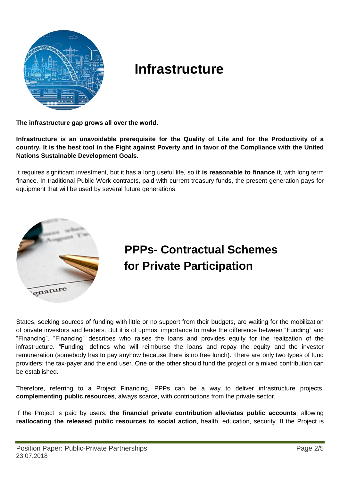

#### **Infrastructure**

**The infrastructure gap grows all over the world.**

**Infrastructure is an unavoidable prerequisite for the Quality of Life and for the Productivity of a** country. It is the best tool in the Fight against Poverty and in favor of the Compliance with the United **Nations Sustainable Development Goals.**

It requires significant investment, but it has a long useful life, so **it is reasonable to finance it**, with long term finance. In traditional Public Work contracts, paid with current treasury funds, the present generation pays for equipment that will be used by several future generations.



### **PPPs- Contractual Schemes for Private Participation**

States, seeking sources of funding with little or no support from their budgets, are waiting for the mobilization of private investors and lenders. But it is of upmost importance to make the difference between "Funding" and "Financing". "Financing" describes who raises the loans and provides equity for the realization of the infrastructure. "Funding" defines who will reimburse the loans and repay the equity and the investor remuneration (somebody has to pay anyhow because there is no free lunch). There are only two types of fund providers: the tax-payer and the end user. One or the other should fund the project or a mixed contribution can be established.

Therefore, referring to a Project Financing, PPPs can be a way to deliver infrastructure projects, **complementing public resources**, always scarce, with contributions from the private sector.

If the Project is paid by users, **the financial private contribution alleviates public accounts**, allowing **reallocating the released public resources to social action**, health, education, security. If the Project is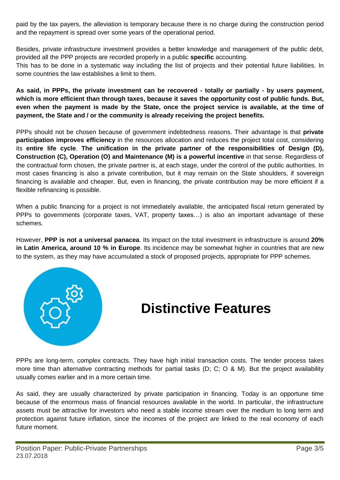paid by the tax payers, the alleviation is temporary because there is no charge during the construction period and the repayment is spread over some years of the operational period.

Besides, private infrastructure investment provides a better knowledge and management of the public debt, provided all the PPP projects are recorded properly in a public **specific** accounting.

This has to be done in a systematic way including the list of projects and their potential future liabilities. In some countries the law establishes a limit to them.

As said, in PPPs, the private investment can be recovered - totally or partially - by users payment, **which is more efficient than through taxes, because it saves the opportunity cost of public funds. But,** even when the payment is made by the State, once the project service is available, at the time of **payment, the State and / or the community is already receiving the project benefits.**

PPPs should not be chosen because of government indebtedness reasons. Their advantage is that **private participation improves efficiency** in the resources allocation and reduces the project total cost, considering its **entire life cycle**. **The unification in the private partner of the responsibilities of Design (D), Construction (C), Operation (O) and Maintenance (M) is a powerful incentive** in that sense. Regardless of the contractual form chosen, the private partner is, at each stage, under the control of the public authorities. In most cases financing is also a private contribution, but it may remain on the State shoulders, if sovereign financing is available and cheaper. But, even in financing, the private contribution may be more efficient if a flexible refinancing is possible.

When a public financing for a project is not immediately available, the anticipated fiscal return generated by PPPs to governments (corporate taxes, VAT, property taxes…) is also an important advantage of these schemes.

However, **PPP is not a universal panacea**. Its impact on the total investment in infrastructure is around **20% in Latin America, around 10 % in Europe**. Its incidence may be somewhat higher in countries that are new to the system, as they may have accumulated a stock of proposed projects, appropriate for PPP schemes.



### **Distinctive Features**

PPPs are long-term, complex contracts. They have high initial transaction costs. The tender process takes more time than alternative contracting methods for partial tasks (D; C; O & M). But the project availability usually comes earlier and in a more certain time.

As said, they are usually characterized by private participation in financing. Today is an opportune time because of the enormous mass of financial resources available in the world. In particular, the infrastructure assets must be attractive for investors who need a stable income stream over the medium to long term and protection against future inflation, since the incomes of the project are linked to the real economy of each future moment.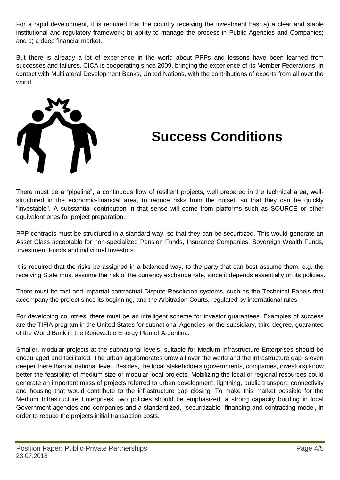For a rapid development, it is required that the country receiving the investment has: a) a clear and stable institutional and regulatory framework; b) ability to manage the process in Public Agencies and Companies; and c) a deep financial market.

But there is already a lot of experience in the world about PPPs and lessons have been learned from successes and failures. CICA is cooperating since 2009, bringing the experience of its Member Federations, in contact with Multilateral Development Banks, United Nations, with the contributions of experts from all over the world.



## **Success Conditions**

There must be a "pipeline", a continuous flow of resilient projects, well prepared in the technical area, wellstructured in the economic-financial area, to reduce risks from the outset, so that they can be quickly "investable". A substantial contribution in that sense will come from platforms such as SOURCE or other equivalent ones for project preparation.

PPP contracts must be structured in a standard way, so that they can be securitized. This would generate an Asset Class acceptable for non-specialized Pension Funds, Insurance Companies, Sovereign Wealth Funds, Investment Funds and individual Investors.

It is required that the risks be assigned in a balanced way, to the party that can best assume them, e.g. the receiving State must assume the risk of the currency exchange rate, since it depends essentially on its policies.

There must be fast and impartial contractual Dispute Resolution systems, such as the Technical Panels that accompany the project since its beginning, and the Arbitration Courts, regulated by international rules.

For developing countries, there must be an intelligent scheme for investor guarantees. Examples of success are the TIFIA program in the United States for subnational Agencies, or the subsidiary, third degree, guarantee of the World Bank in the Renewable Energy Plan of Argentina.

Smaller, modular projects at the subnational levels, suitable for Medium Infrastructure Enterprises should be encouraged and facilitated. The urban agglomerates grow all over the world and the infrastructure gap is even deeper there than at national level. Besides, the local stakeholders (governments, companies, investors) know better the feasibility of medium size or modular local projects. Mobilizing the local or regional resources could generate an important mass of projects referred to urban development, lightning, public transport, connectivity and housing that would contribute to the infrastructure gap closing. To make this market possible for the Medium Infrastructure Enterprises, two policies should be emphasized: a strong capacity building in local Government agencies and companies and a standardized, "securitizable" financing and contracting model, in order to reduce the projects initial transaction costs.